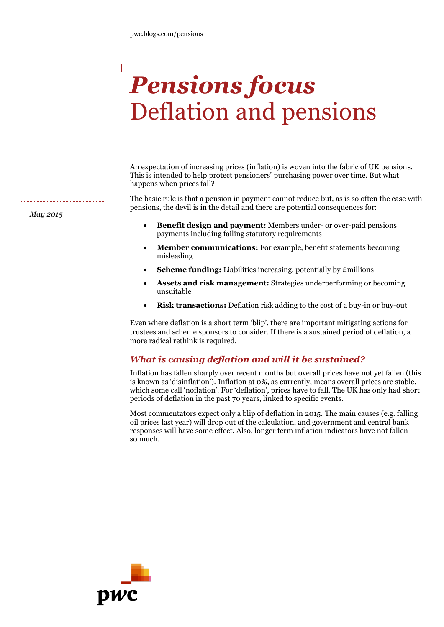# *Pensions focus* Deflation and pensions

An expectation of increasing prices (inflation) is woven into the fabric of UK pensions. This is intended to help protect pensioners' purchasing power over time. But what happens when prices fall?

The basic rule is that a pension in payment cannot reduce but, as is so often the case with pensions, the devil is in the detail and there are potential consequences for:

- **Benefit design and payment:** Members under- or over-paid pensions payments including failing statutory requirements
- **Member communications:** For example, benefit statements becoming misleading
- **Scheme funding:** Liabilities increasing, potentially by £millions
- **Assets and risk management:** Strategies underperforming or becoming unsuitable
- **Risk transactions:** Deflation risk adding to the cost of a buy-in or buy-out

Even where deflation is a short term 'blip', there are important mitigating actions for trustees and scheme sponsors to consider. If there is a sustained period of deflation, a more radical rethink is required.

## *What is causing deflation and will it be sustained?*

Inflation has fallen sharply over recent months but overall prices have not yet fallen (this is known as 'disinflation'). Inflation at 0%, as currently, means overall prices are stable, which some call 'noflation'. For 'deflation', prices have to fall. The UK has only had short periods of deflation in the past 70 years, linked to specific events.

Most commentators expect only a blip of deflation in 2015. The main causes (e.g. falling oil prices last year) will drop out of the calculation, and government and central bank responses will have some effect. Also, longer term inflation indicators have not fallen so much.



*May 2015*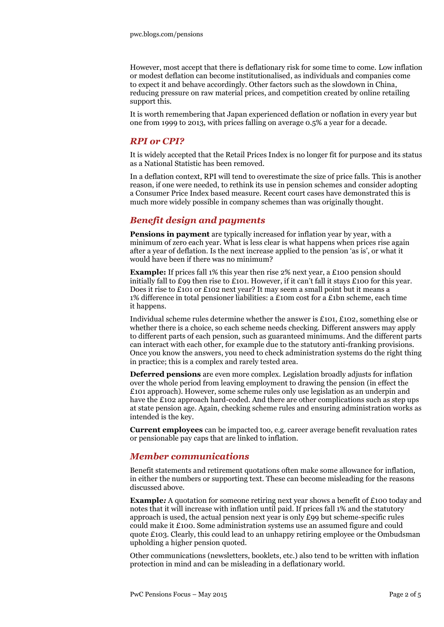However, most accept that there is deflationary risk for some time to come. Low inflation or modest deflation can become institutionalised, as individuals and companies come to expect it and behave accordingly. Other factors such as the slowdown in China, reducing pressure on raw material prices, and competition created by online retailing support this.

It is worth remembering that Japan experienced deflation or noflation in every year but one from 1999 to 2013, with prices falling on average 0.5% a year for a decade.

#### *RPI or CPI?*

It is widely accepted that the Retail Prices Index is no longer fit for purpose and its status as a National Statistic has been removed.

In a deflation context, RPI will tend to overestimate the size of price falls. This is another reason, if one were needed, to rethink its use in pension schemes and consider adopting a Consumer Price Index based measure. Recent court cases have demonstrated this is much more widely possible in company schemes than was originally thought.

# *Benefit design and payments*

**Pensions in payment** are typically increased for inflation year by year, with a minimum of zero each year. What is less clear is what happens when prices rise again after a year of deflation. Is the next increase applied to the pension 'as is', or what it would have been if there was no minimum?

**Example:** If prices fall 1% this year then rise 2% next year, a £100 pension should initially fall to £99 then rise to £101. However, if it can't fall it stays £100 for this year. Does it rise to £101 or £102 next year? It may seem a small point but it means a 1% difference in total pensioner liabilities: a £10m cost for a £1bn scheme, each time it happens.

Individual scheme rules determine whether the answer is £101, £102, something else or whether there is a choice, so each scheme needs checking. Different answers may apply to different parts of each pension, such as guaranteed minimums. And the different parts can interact with each other, for example due to the statutory anti-franking provisions. Once you know the answers, you need to check administration systems do the right thing in practice; this is a complex and rarely tested area.

**Deferred pensions** are even more complex. Legislation broadly adjusts for inflation over the whole period from leaving employment to drawing the pension (in effect the £101 approach). However, some scheme rules only use legislation as an underpin and have the £102 approach hard-coded. And there are other complications such as step ups at state pension age. Again, checking scheme rules and ensuring administration works as intended is the key.

**Current employees** can be impacted too, e.g. career average benefit revaluation rates or pensionable pay caps that are linked to inflation.

#### *Member communications*

Benefit statements and retirement quotations often make some allowance for inflation, in either the numbers or supporting text. These can become misleading for the reasons discussed above.

**Example:** A quotation for someone retiring next year shows a benefit of £100 today and notes that it will increase with inflation until paid. If prices fall 1% and the statutory approach is used, the actual pension next year is only  $E_{99}$  but scheme-specific rules could make it £100. Some administration systems use an assumed figure and could quote  $\pounds$ 103. Clearly, this could lead to an unhappy retiring employee or the Ombudsman upholding a higher pension quoted.

Other communications (newsletters, booklets, etc.) also tend to be written with inflation protection in mind and can be misleading in a deflationary world.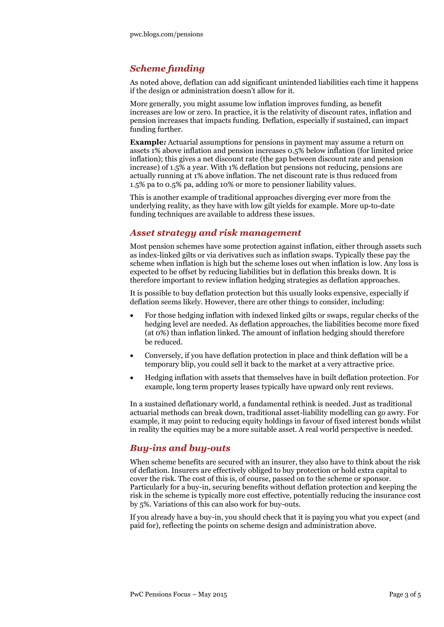# *Scheme funding*

As noted above, deflation can add significant unintended liabilities each time it happens if the design or administration doesn't allow for it.

More generally, you might assume low inflation improves funding, as benefit increases are low or zero. In practice, it is the relativity of discount rates, inflation and pension increases that impacts funding. Deflation, especially if sustained, can impact funding further.

**Example***:* Actuarial assumptions for pensions in payment may assume a return on assets 1% above inflation and pension increases 0.5% below inflation (for limited price inflation); this gives a net discount rate (the gap between discount rate and pension increase) of 1.5% a year. With 1% deflation but pensions not reducing, pensions are actually running at 1% above inflation. The net discount rate is thus reduced from 1.5% pa to 0.5% pa, adding 10% or more to pensioner liability values.

This is another example of traditional approaches diverging ever more from the underlying reality, as they have with low gilt yields for example. More up-to-date funding techniques are available to address these issues.

### *Asset strategy and risk management*

Most pension schemes have some protection against inflation, either through assets such as index-linked gilts or via derivatives such as inflation swaps. Typically these pay the scheme when inflation is high but the scheme loses out when inflation is low. Any loss is expected to be offset by reducing liabilities but in deflation this breaks down. It is therefore important to review inflation hedging strategies as deflation approaches.

It is possible to buy deflation protection but this usually looks expensive, especially if deflation seems likely. However, there are other things to consider, including:

- For those hedging inflation with indexed linked gilts or swaps, regular checks of the hedging level are needed. As deflation approaches, the liabilities become more fixed (at 0%) than inflation linked. The amount of inflation hedging should therefore be reduced.
- Conversely, if you have deflation protection in place and think deflation will be a temporary blip, you could sell it back to the market at a very attractive price.
- Hedging inflation with assets that themselves have in built deflation protection. For example, long term property leases typically have upward only rent reviews.

In a sustained deflationary world, a fundamental rethink is needed. Just as traditional actuarial methods can break down, traditional asset-liability modelling can go awry. For example, it may point to reducing equity holdings in favour of fixed interest bonds whilst in reality the equities may be a more suitable asset. A real world perspective is needed.

#### *Buy-ins and buy-outs*

When scheme benefits are secured with an insurer, they also have to think about the risk of deflation. Insurers are effectively obliged to buy protection or hold extra capital to cover the risk. The cost of this is, of course, passed on to the scheme or sponsor. Particularly for a buy-in, securing benefits without deflation protection and keeping the risk in the scheme is typically more cost effective, potentially reducing the insurance cost by 5%. Variations of this can also work for buy-outs.

If you already have a buy-in, you should check that it is paying you what you expect (and paid for), reflecting the points on scheme design and administration above.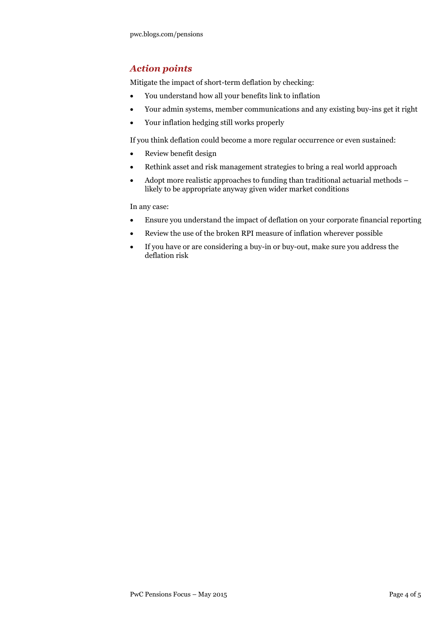# *Action points*

Mitigate the impact of short-term deflation by checking:

- You understand how all your benefits link to inflation
- Your admin systems, member communications and any existing buy-ins get it right
- Your inflation hedging still works properly

If you think deflation could become a more regular occurrence or even sustained:

- Review benefit design
- Rethink asset and risk management strategies to bring a real world approach
- Adopt more realistic approaches to funding than traditional actuarial methods likely to be appropriate anyway given wider market conditions

In any case:

- Ensure you understand the impact of deflation on your corporate financial reporting
- Review the use of the broken RPI measure of inflation wherever possible
- If you have or are considering a buy-in or buy-out, make sure you address the deflation risk